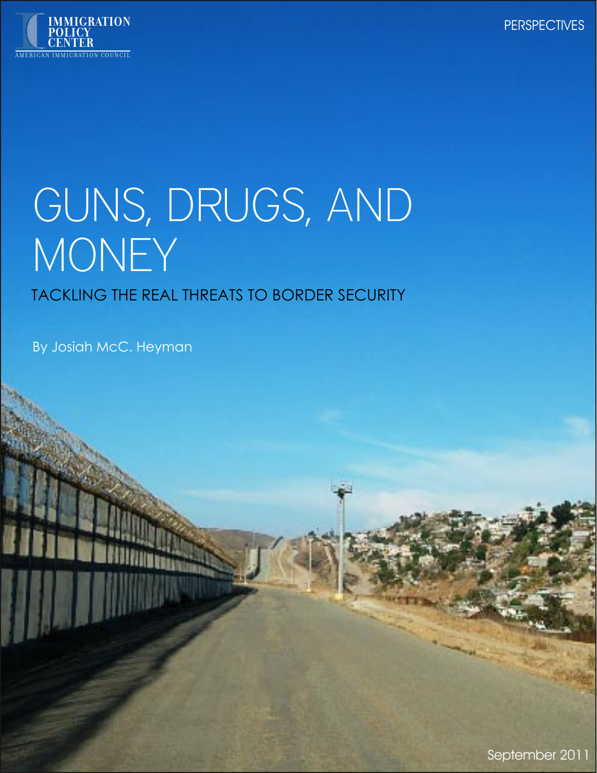

# GUNS, DRUGS, AND MONEY

# TACKLING THE REAL THREATS TO BORDER SECURITY

By Josiah McC. Heyman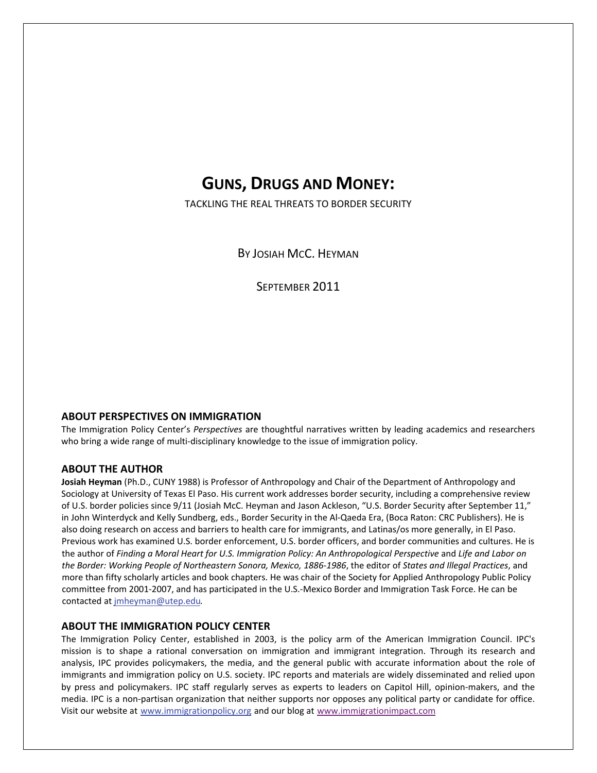# **GUNS, DRUGS AND MONEY:**

TACKLING THE REAL THREATS TO BORDER SECURITY

BY JOSIAH MCC. HEYMAN

SEPTEMBER 2011

#### **ABOUT PERSPECTIVES ON IMMIGRATION**

The Immigration Policy Center's *Perspectives* are thoughtful narratives written by leading academics and researchers who bring a wide range of multi-disciplinary knowledge to the issue of immigration policy.

#### **ABOUT THE AUTHOR**

**Josiah Heyman** (Ph.D., CUNY 1988) is Professor of Anthropology and Chair of the Department of Anthropology and Sociology at University of Texas El Paso. His current work addresses border security, including a comprehensive review of U.S. border policies since 9/11 (Josiah McC. Heyman and Jason Ackleson, "U.S. Border Security after September 11," in John Winterdyck and Kelly Sundberg, eds., Border Security in the Al‐Qaeda Era, (Boca Raton: CRC Publishers). He is also doing research on access and barriers to health care for immigrants, and Latinas/os more generally, in El Paso. Previous work has examined U.S. border enforcement, U.S. border officers, and border communities and cultures. He is the author of *Finding a Moral Heart for U.S. Immigration Policy: An Anthropological Perspective* and *Life and Labor on the Border: Working People of Northeastern Sonora, Mexico, 1886‐1986*, the editor of *States and Illegal Practices*, and more than fifty scholarly articles and book chapters. He was chair of the Society for Applied Anthropology Public Policy committee from 2001‐2007, and has participated in the U.S.‐Mexico Border and Immigration Task Force. He can be contacted at [jmheyman@utep.edu](mailto:jmheyman@utep.edu).

#### **ABOUT THE IMMIGRATION POLICY CENTER**

The Immigration Policy Center, established in 2003, is the policy arm of the American Immigration Council. IPC's mission is to shape a rational conversation on immigration and immigrant integration. Through its research and analysis, IPC provides policymakers, the media, and the general public with accurate information about the role of immigrants and immigration policy on U.S. society. IPC reports and materials are widely disseminated and relied upon by press and policymakers. IPC staff regularly serves as experts to leaders on Capitol Hill, opinion-makers, and the media. IPC is a non‐partisan organization that neither supports nor opposes any political party or candidate for office. Visit our website at www.immigrationpolicy.org and our [blog](http://rs6.net/tn.jsp?e=0013sB3H4Ngeb8u23v8DTLYuHff5o3A9Y7fC7wsO-myYRJX8RIQtjCJU2lT5w5MoDBNruFtlQCCVis4BypKz358QSnkHIGy4kZ3WjQGc9mhqFGdO-75dEFf5V4SGNJr23Hf&id=preview&id=preview) at www.immigrationimpact.com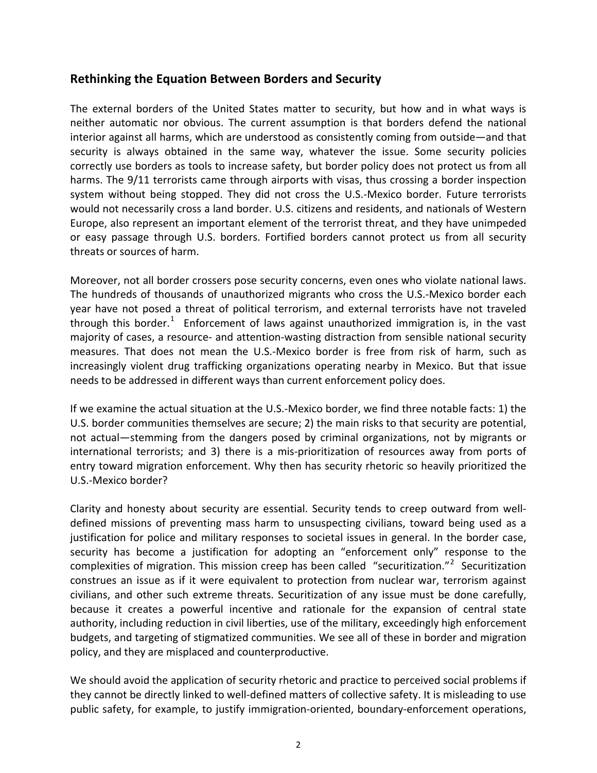#### **Rethinking the Equation Between Borders and Security**

The external borders of the United States matter to security, but how and in what ways is neither automatic nor obvious. The current assumption is that borders defend the national interior against all harms, which are understood as consistently coming from outside—and that security is always obtained in the same way, whatever the issue. Some security policies correctly use borders as tools to increase safety, but border policy does not protect us from all harms. The 9/11 terrorists came through airports with visas, thus crossing a border inspection system without being stopped. They did not cross the U.S.-Mexico border. Future terrorists would not necessarily cross a land border. U.S. citizens and residents, and nationals of Western Europe, also represent an important element of the terrorist threat, and they have unimpeded or easy passage through U.S. borders. Fortified borders cannot protect us from all security threats or sources of harm.

Moreover, not all border crossers pose security concerns, even ones who violate national laws. The hundreds of thousands of unauthorized migrants who cross the U.S.‐Mexico border each year have not posed a threat of political terrorism, and external terrorists have not traveled through this border.<sup>[1](#page-10-0)</sup> Enforcement of laws against unauthorized immigration is, in the vast majority of cases, a resource‐ and attention‐wasting distraction from sensible national security measures. That does not mean the U.S.‐Mexico border is free from risk of harm, such as increasingly violent drug trafficking organizations operating nearby in Mexico. But that issue needs to be addressed in different ways than current enforcement policy does.

If we examine the actual situation at the U.S.‐Mexico border, we find three notable facts: 1) the U.S. border communities themselves are secure; 2) the main risks to that security are potential, not actual—stemming from the dangers posed by criminal organizations, not by migrants or international terrorists; and 3) there is a mis-prioritization of resources away from ports of entry toward migration enforcement. Why then has security rhetoric so heavily prioritized the U.S.‐Mexico border?

Clarity and honesty about security are essential. Security tends to creep outward from well‐ defined missions of preventing mass harm to unsuspecting civilians, toward being used as a justification for police and military responses to societal issues in general. In the border case, security has become a justification for adopting an "enforcement only" response to the complexities of migration. This mission creep has been called "securitization."<sup>[2](#page-10-1)</sup> Securitization construes an issue as if it were equivalent to protection from nuclear war, terrorism against civilians, and other such extreme threats. Securitization of any issue must be done carefully, because it creates a powerful incentive and rationale for the expansion of central state authority, including reduction in civil liberties, use of the military, exceedingly high enforcement budgets, and targeting of stigmatized communities. We see all of these in border and migration policy, and they are misplaced and counterproductive.

We should avoid the application of security rhetoric and practice to perceived social problems if they cannot be directly linked to well‐defined matters of collective safety. It is misleading to use public safety, for example, to justify immigration‐oriented, boundary‐enforcement operations,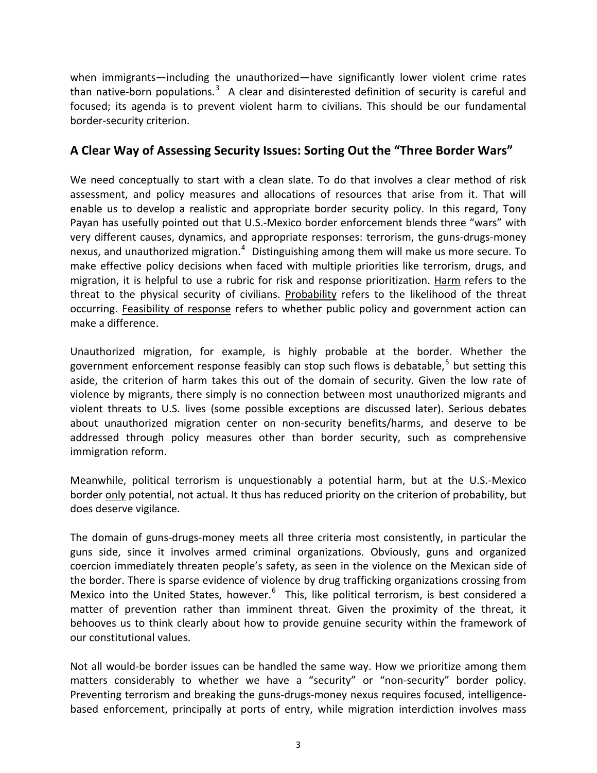when immigrants—including the unauthorized—have significantly lower violent crime rates than native-born populations.<sup>[3](#page-10-1)</sup> A clear and disinterested definition of security is careful and focused; its agenda is to prevent violent harm to civilians. This should be our fundamental border‐security criterion.

#### **A Clear Way of Assessing Security Issues: Sorting Out the "Three Border Wars"**

We need conceptually to start with a clean slate. To do that involves a clear method of risk assessment, and policy measures and allocations of resources that arise from it. That will enable us to develop a realistic and appropriate border security policy. In this regard, Tony Payan has usefully pointed out that U.S.‐Mexico border enforcement blends three "wars" with very different causes, dynamics, and appropriate responses: terrorism, the guns‐drugs‐money nexus, and unauthorized migration.<sup>[4](#page-10-1)</sup> Distinguishing among them will make us more secure. To make effective policy decisions when faced with multiple priorities like terrorism, drugs, and migration, it is helpful to use a rubric for risk and response prioritization. Harm refers to the threat to the physical security of civilians. Probability refers to the likelihood of the threat occurring. Feasibility of response refers to whether public policy and government action can make a difference.

Unauthorized migration, for example, is highly probable at the border. Whether the government enforcement response feasibly can stop such flows is debatable, $5$  but setting this aside, the criterion of harm takes this out of the domain of security. Given the low rate of violence by migrants, there simply is no connection between most unauthorized migrants and violent threats to U.S. lives (some possible exceptions are discussed later). Serious debates about unauthorized migration center on non‐security benefits/harms, and deserve to be addressed through policy measures other than border security, such as comprehensive immigration reform.

Meanwhile, political terrorism is unquestionably a potential harm, but at the U.S.‐Mexico border only potential, not actual. It thus has reduced priority on the criterion of probability, but does deserve vigilance.

The domain of guns‐drugs‐money meets all three criteria most consistently, in particular the guns side, since it involves armed criminal organizations. Obviously, guns and organized coercion immediately threaten people's safety, as seen in the violence on the Mexican side of the border. There is sparse evidence of violence by drug trafficking organizations crossing from Mexico into the United States, however.<sup>[6](#page-10-1)</sup> This, like political terrorism, is best considered a matter of prevention rather than imminent threat. Given the proximity of the threat, it behooves us to think clearly about how to provide genuine security within the framework of our constitutional values.

Not all would‐be border issues can be handled the same way. How we prioritize among them matters considerably to whether we have a "security" or "non-security" border policy. Preventing terrorism and breaking the guns‐drugs‐money nexus requires focused, intelligence‐ based enforcement, principally at ports of entry, while migration interdiction involves mass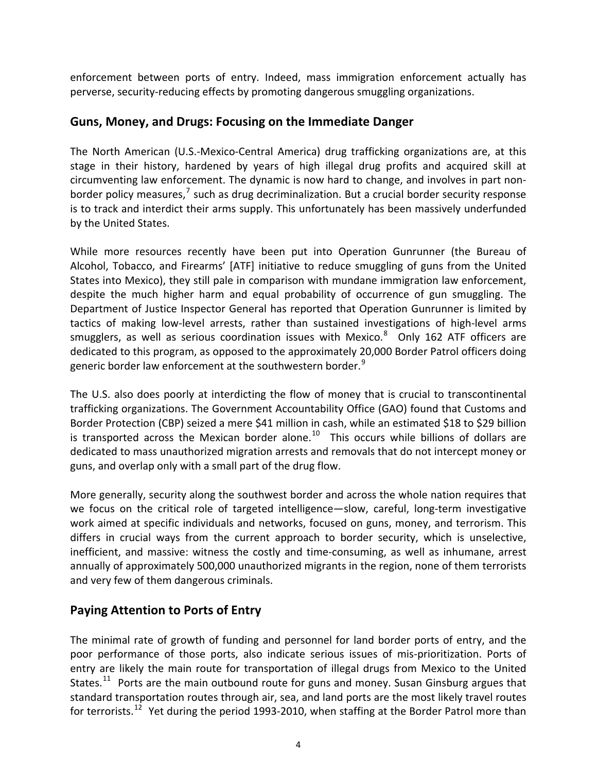enforcement between ports of entry. Indeed, mass immigration enforcement actually has perverse, security‐reducing effects by promoting dangerous smuggling organizations.

#### **Guns, Money, and Drugs: Focusing on the Immediate Danger**

The North American (U.S.‐Mexico‐Central America) drug trafficking organizations are, at this stage in their history, hardened by years of high illegal drug profits and acquired skill at circumventing law enforcement. The dynamic is now hard to change, and involves in part non‐ border policy measures, $<sup>7</sup>$  $<sup>7</sup>$  $<sup>7</sup>$  such as drug decriminalization. But a crucial border security response</sup> is to track and interdict their arms supply. This unfortunately has been massively underfunded by the United States.

While more resources recently have been put into Operation Gunrunner (the Bureau of Alcohol, Tobacco, and Firearms' [ATF] initiative to reduce smuggling of guns from the United States into Mexico), they still pale in comparison with mundane immigration law enforcement, despite the much higher harm and equal probability of occurrence of gun smuggling. The Department of Justice Inspector General has reported that Operation Gunrunner is limited by tactics of making low‐level arrests, rather than sustained investigations of high‐level arms smugglers, as well as serious coordination issues with Mexico.<sup>[8](#page-10-1)</sup> Only 162 ATF officers are dedicated to this program, as opposed to the approximately 20,000 Border Patrol officers doing generic border law enforcement at the southwestern border. $^9$  $^9$ 

The U.S. also does poorly at interdicting the flow of money that is crucial to transcontinental trafficking organizations. The Government Accountability Office (GAO) found that Customs and Border Protection (CBP) seized a mere \$41 million in cash, while an estimated \$18 to \$29 billion is transported across the Mexican border alone.<sup>[10](#page-10-1)</sup> This occurs while billions of dollars are dedicated to mass unauthorized migration arrests and removals that do not intercept money or guns, and overlap only with a small part of the drug flow.

More generally, security along the southwest border and across the whole nation requires that we focus on the critical role of targeted intelligence—slow, careful, long-term investigative work aimed at specific individuals and networks, focused on guns, money, and terrorism. This differs in crucial ways from the current approach to border security, which is unselective, inefficient, and massive: witness the costly and time‐consuming, as well as inhumane, arrest annually of approximately 500,000 unauthorized migrants in the region, none of them terrorists and very few of them dangerous criminals.

# **Paying Attention to Ports of Entry**

The minimal rate of growth of funding and personnel for land border ports of entry, and the poor performance of those ports, also indicate serious issues of mis-prioritization. Ports of entry are likely the main route for transportation of illegal drugs from Mexico to the United States.<sup>[11](#page-10-1)</sup> Ports are the main outbound route for guns and money. Susan Ginsburg argues that standard transportation routes through air, sea, and land ports are the most likely travel routes for terrorists.<sup>[12](#page-10-1)</sup> Yet during the period 1993-2010, when staffing at the Border Patrol more than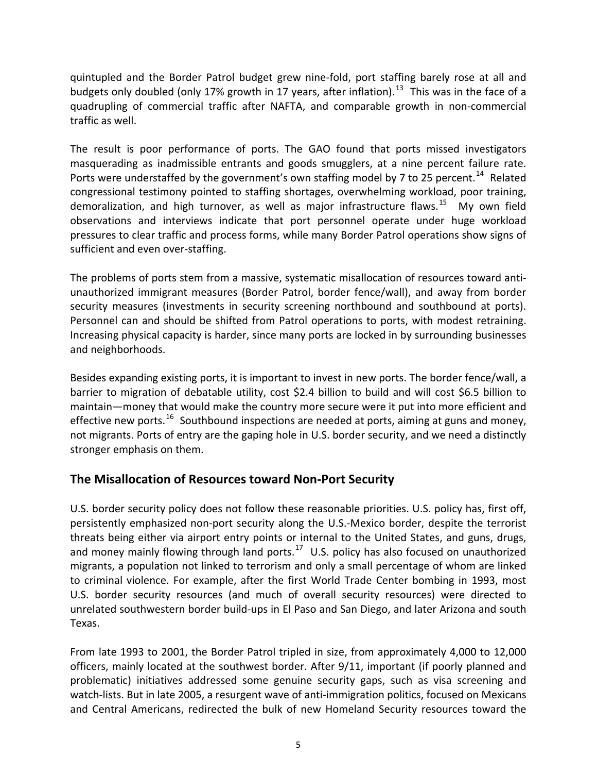quintupled and the Border Patrol budget grew nine‐fold, port staffing barely rose at all and budgets only doubled (only 17% growth in 17 years, after inflation).<sup>[13](#page-10-1)</sup> This was in the face of a quadrupling of commercial traffic after NAFTA, and comparable growth in non‐commercial traffic as well.

The result is poor performance of ports. The GAO found that ports missed investigators masquerading as inadmissible entrants and goods smugglers, at a nine percent failure rate. Ports were understaffed by the government's own staffing model by 7 to 25 percent.<sup>[14](#page-10-1)</sup> Related congressional testimony pointed to staffing shortages, overwhelming workload, poor training, demoralization, and high turnover, as well as major infrastructure flaws.<sup>[15](#page-10-1)</sup> My own field observations and interviews indicate that port personnel operate under huge workload pressures to clear traffic and process forms, while many Border Patrol operations show signs of sufficient and even over‐staffing.

The problems of ports stem from a massive, systematic misallocation of resources toward anti‐ unauthorized immigrant measures (Border Patrol, border fence/wall), and away from border security measures (investments in security screening northbound and southbound at ports). Personnel can and should be shifted from Patrol operations to ports, with modest retraining. Increasing physical capacity is harder, since many ports are locked in by surrounding businesses and neighborhoods.

Besides expanding existing ports, it is important to invest in new ports. The border fence/wall, a barrier to migration of debatable utility, cost \$2.4 billion to build and will cost \$6.5 billion to maintain—money that would make the country more secure were it put into more efficient and effective new ports.<sup>[16](#page-10-1)</sup> Southbound inspections are needed at ports, aiming at guns and money, not migrants. Ports of entry are the gaping hole in U.S. border security, and we need a distinctly stronger emphasis on them.

## **The Misallocation of Resources toward Non‐Port Security**

U.S. border security policy does not follow these reasonable priorities. U.S. policy has, first off, persistently emphasized non‐port security along the U.S.‐Mexico border, despite the terrorist threats being either via airport entry points or internal to the United States, and guns, drugs, and money mainly flowing through land ports. $17$  U.S. policy has also focused on unauthorized migrants, a population not linked to terrorism and only a small percentage of whom are linked to criminal violence. For example, after the first World Trade Center bombing in 1993, most U.S. border security resources (and much of overall security resources) were directed to unrelated southwestern border build‐ups in El Paso and San Diego, and later Arizona and south Texas.

From late 1993 to 2001, the Border Patrol tripled in size, from approximately 4,000 to 12,000 officers, mainly located at the southwest border. After 9/11, important (if poorly planned and problematic) initiatives addressed some genuine security gaps, such as visa screening and watch-lists. But in late 2005, a resurgent wave of anti-immigration politics, focused on Mexicans and Central Americans, redirected the bulk of new Homeland Security resources toward the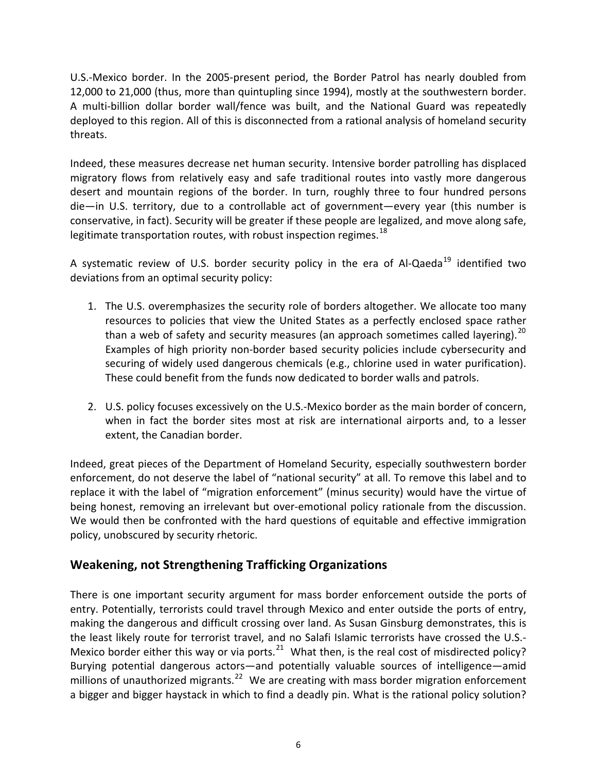U.S.‐Mexico border. In the 2005‐present period, the Border Patrol has nearly doubled from 12,000 to 21,000 (thus, more than quintupling since 1994), mostly at the southwestern border. A multi‐billion dollar border wall/fence was built, and the National Guard was repeatedly deployed to this region. All of this is disconnected from a rational analysis of homeland security threats.

Indeed, these measures decrease net human security. Intensive border patrolling has displaced migratory flows from relatively easy and safe traditional routes into vastly more dangerous desert and mountain regions of the border. In turn, roughly three to four hundred persons die—in U.S. territory, due to a controllable act of government—every year (this number is conservative, in fact). Security will be greater if these people are legalized, and move along safe, legitimate transportation routes, with robust inspection regimes. $^{18}$  $^{18}$  $^{18}$ 

A systematic review of U.S. border security policy in the era of Al-Qaeda<sup>[19](#page-11-0)</sup> identified two deviations from an optimal security policy:

- 1. The U.S. overemphasizes the security role of borders altogether. We allocate too many resources to policies that view the United States as a perfectly enclosed space rather than a web of safety and security measures (an approach sometimes called layering).<sup>[20](#page-11-0)</sup> Examples of high priority non‐border based security policies include cybersecurity and securing of widely used dangerous chemicals (e.g., chlorine used in water purification). These could benefit from the funds now dedicated to border walls and patrols.
- 2. U.S. policy focuses excessively on the U.S.‐Mexico border as the main border of concern, when in fact the border sites most at risk are international airports and, to a lesser extent, the Canadian border.

Indeed, great pieces of the Department of Homeland Security, especially southwestern border enforcement, do not deserve the label of "national security" at all. To remove this label and to replace it with the label of "migration enforcement" (minus security) would have the virtue of being honest, removing an irrelevant but over-emotional policy rationale from the discussion. We would then be confronted with the hard questions of equitable and effective immigration policy, unobscured by security rhetoric.

## **Weakening, not Strengthening Trafficking Organizations**

There is one important security argument for mass border enforcement outside the ports of entry. Potentially, terrorists could travel through Mexico and enter outside the ports of entry, making the dangerous and difficult crossing over land. As Susan Ginsburg demonstrates, this is the least likely route for terrorist travel, and no Salafi Islamic terrorists have crossed the U.S.‐ Mexico border either this way or via ports.<sup>[21](#page-11-0)</sup> What then, is the real cost of misdirected policy? Burying potential dangerous actors—and potentially valuable sources of intelligence—amid millions of unauthorized migrants.<sup>[22](#page-11-0)</sup> We are creating with mass border migration enforcement a bigger and bigger haystack in which to find a deadly pin. What is the rational policy solution?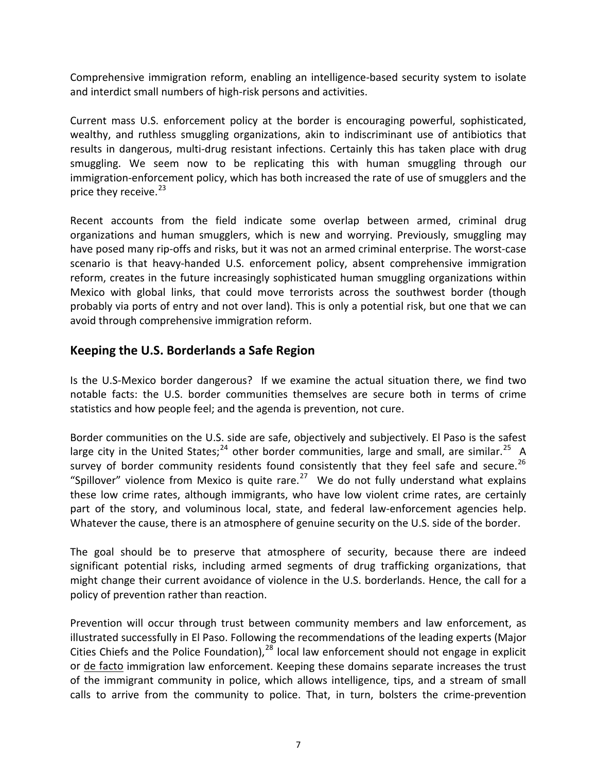Comprehensive immigration reform, enabling an intelligence‐based security system to isolate and interdict small numbers of high‐risk persons and activities.

Current mass U.S. enforcement policy at the border is encouraging powerful, sophisticated, wealthy, and ruthless smuggling organizations, akin to indiscriminant use of antibiotics that results in dangerous, multi‐drug resistant infections. Certainly this has taken place with drug smuggling. We seem now to be replicating this with human smuggling through our immigration-enforcement policy, which has both increased the rate of use of smugglers and the price they receive. $23$ 

Recent accounts from the field indicate some overlap between armed, criminal drug organizations and human smugglers, which is new and worrying. Previously, smuggling may have posed many rip-offs and risks, but it was not an armed criminal enterprise. The worst-case scenario is that heavy-handed U.S. enforcement policy, absent comprehensive immigration reform, creates in the future increasingly sophisticated human smuggling organizations within Mexico with global links, that could move terrorists across the southwest border (though probably via ports of entry and not over land). This is only a potential risk, but one that we can avoid through comprehensive immigration reform.

#### **Keeping the U.S. Borderlands a Safe Region**

Is the U.S-Mexico border dangerous? If we examine the actual situation there, we find two notable facts: the U.S. border communities themselves are secure both in terms of crime statistics and how people feel; and the agenda is prevention, not cure.

Border communities on the U.S. side are safe, objectively and subjectively. El Paso is the safest large city in the United States;<sup>[24](#page-11-0)</sup> other border communities, large and small, are similar.<sup>[25](#page-11-0)</sup> A survey of border community residents found consistently that they feel safe and secure.<sup>[26](#page-11-0)</sup> "Spillover" violence from Mexico is quite rare.<sup>[27](#page-11-0)</sup> We do not fully understand what explains these low crime rates, although immigrants, who have low violent crime rates, are certainly part of the story, and voluminous local, state, and federal law-enforcement agencies help. Whatever the cause, there is an atmosphere of genuine security on the U.S. side of the border.

The goal should be to preserve that atmosphere of security, because there are indeed significant potential risks, including armed segments of drug trafficking organizations, that might change their current avoidance of violence in the U.S. borderlands. Hence, the call for a policy of prevention rather than reaction.

Prevention will occur through trust between community members and law enforcement, as illustrated successfully in El Paso. Following the recommendations of the leading experts (Major Cities Chiefs and the Police Foundation), $^{28}$  $^{28}$  $^{28}$  local law enforcement should not engage in explicit or de facto immigration law enforcement. Keeping these domains separate increases the trust of the immigrant community in police, which allows intelligence, tips, and a stream of small calls to arrive from the community to police. That, in turn, bolsters the crime‐prevention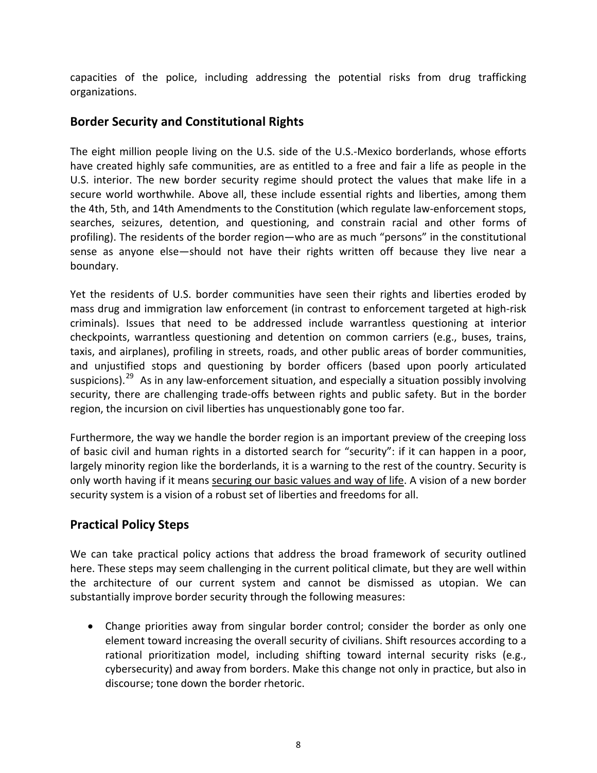capacities of the police, including addressing the potential risks from drug trafficking organizations.

#### **Border Security and Constitutional Rights**

The eight million people living on the U.S. side of the U.S.‐Mexico borderlands, whose efforts have created highly safe communities, are as entitled to a free and fair a life as people in the U.S. interior. The new border security regime should protect the values that make life in a secure world worthwhile. Above all, these include essential rights and liberties, among them the 4th, 5th, and 14th Amendments to the Constitution (which regulate law‐enforcement stops, searches, seizures, detention, and questioning, and constrain racial and other forms of profiling). The residents of the border region—who are as much "persons" in the constitutional sense as anyone else—should not have their rights written off because they live near a boundary.

Yet the residents of U.S. border communities have seen their rights and liberties eroded by mass drug and immigration law enforcement (in contrast to enforcement targeted at high‐risk criminals). Issues that need to be addressed include warrantless questioning at interior checkpoints, warrantless questioning and detention on common carriers (e.g., buses, trains, taxis, and airplanes), profiling in streets, roads, and other public areas of border communities, and unjustified stops and questioning by border officers (based upon poorly articulated suspicions).<sup>[29](#page-11-0)</sup> As in any law-enforcement situation, and especially a situation possibly involving security, there are challenging trade‐offs between rights and public safety. But in the border region, the incursion on civil liberties has unquestionably gone too far.

Furthermore, the way we handle the border region is an important preview of the creeping loss of basic civil and human rights in a distorted search for "security": if it can happen in a poor, largely minority region like the borderlands, it is a warning to the rest of the country. Security is only worth having if it means securing our basic values and way of life. A vision of a new border security system is a vision of a robust set of liberties and freedoms for all.

## **Practical Policy Steps**

We can take practical policy actions that address the broad framework of security outlined here. These steps may seem challenging in the current political climate, but they are well within the architecture of our current system and cannot be dismissed as utopian. We can substantially improve border security through the following measures:

• Change priorities away from singular border control; consider the border as only one element toward increasing the overall security of civilians. Shift resources according to a rational prioritization model, including shifting toward internal security risks (e.g., cybersecurity) and away from borders. Make this change not only in practice, but also in discourse; tone down the border rhetoric.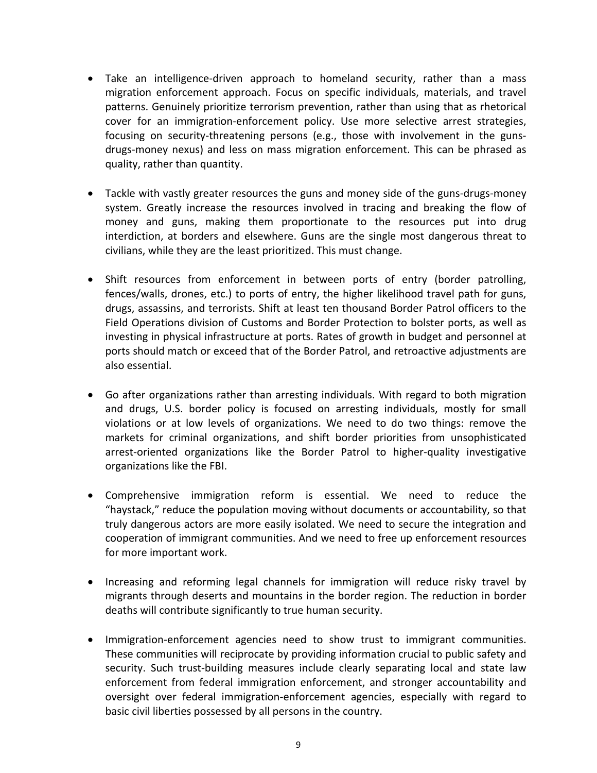- Take an intelligence-driven approach to homeland security, rather than a mass migration enforcement approach. Focus on specific individuals, materials, and travel patterns. Genuinely prioritize terrorism prevention, rather than using that as rhetorical cover for an immigration‐enforcement policy. Use more selective arrest strategies, focusing on security-threatening persons (e.g., those with involvement in the gunsdrugs‐money nexus) and less on mass migration enforcement. This can be phrased as quality, rather than quantity.
- Tackle with vastly greater resources the guns and money side of the guns-drugs-money system. Greatly increase the resources involved in tracing and breaking the flow of money and guns, making them proportionate to the resources put into drug interdiction, at borders and elsewhere. Guns are the single most dangerous threat to civilians, while they are the least prioritized. This must change.
- Shift resources from enforcement in between ports of entry (border patrolling, fences/walls, drones, etc.) to ports of entry, the higher likelihood travel path for guns, drugs, assassins, and terrorists. Shift at least ten thousand Border Patrol officers to the Field Operations division of Customs and Border Protection to bolster ports, as well as investing in physical infrastructure at ports. Rates of growth in budget and personnel at ports should match or exceed that of the Border Patrol, and retroactive adjustments are also essential.
- Go after organizations rather than arresting individuals. With regard to both migration and drugs, U.S. border policy is focused on arresting individuals, mostly for small violations or at low levels of organizations. We need to do two things: remove the markets for criminal organizations, and shift border priorities from unsophisticated arrest-oriented organizations like the Border Patrol to higher-quality investigative organizations like the FBI.
- Comprehensive immigration reform is essential. We need to reduce the "haystack," reduce the population moving without documents or accountability, so that truly dangerous actors are more easily isolated. We need to secure the integration and cooperation of immigrant communities. And we need to free up enforcement resources for more important work.
- Increasing and reforming legal channels for immigration will reduce risky travel by migrants through deserts and mountains in the border region. The reduction in border deaths will contribute significantly to true human security.
- Immigration-enforcement agencies need to show trust to immigrant communities. These communities will reciprocate by providing information crucial to public safety and security. Such trust‐building measures include clearly separating local and state law enforcement from federal immigration enforcement, and stronger accountability and oversight over federal immigration‐enforcement agencies, especially with regard to basic civil liberties possessed by all persons in the country.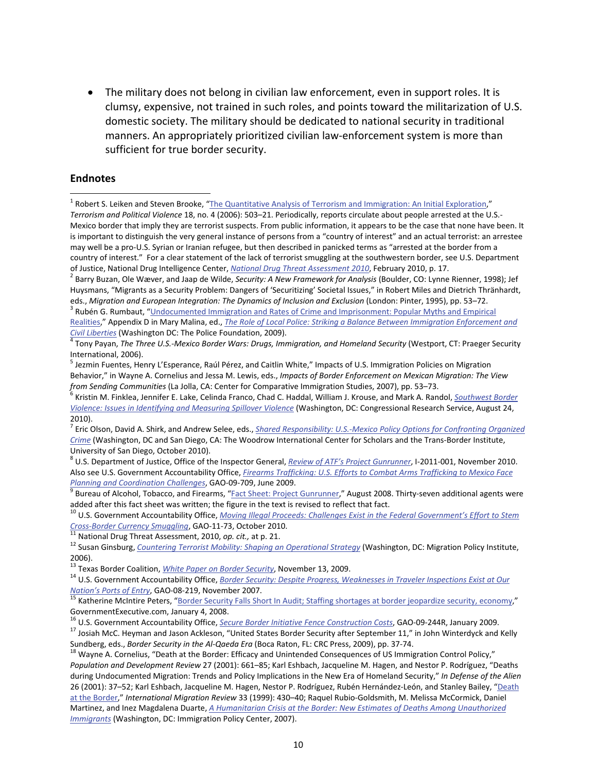<span id="page-10-1"></span>• The military does not belong in civilian law enforcement, even in support roles. It is clumsy, expensive, not trained in such roles, and points toward the militarization of U.S. domestic society. The military should be dedicated to national security in traditional manners. An appropriately prioritized civilian law-enforcement system is more than sufficient for true border security.

#### **Endnotes**

 $\overline{a}$ 

*Terrorism and Political Violence* 18, no. 4 (2006): 503–21. Periodically, reports circulate about people arrested at the U.S.‐ Mexico border that imply they are terrorist suspects. From public information, it appears to be the case that none have been. It is important to distinguish the very general instance of persons from a "country of interest" and an actual terrorist: an arrestee may well be a pro‐U.S. Syrian or Iranian refugee, but then described in panicked terms as "arrested at the border from a country of interest." For a clear statement of the lack of terrorist smuggling at the southwestern border, see U.S. Department of Justice, National Drug Intelligence Center, *National Drug Threat [Assessment](http://www.justice.gov/ndic/pubs38/38661/index.htm) 2010*, February 2010, p. 17.<br><sup>2</sup> Barry Buzan, Ole Wæver, and Jaap de Wilde, Security: A New Framework for Analysis (Boulder, CO: Lynne Rienner

<sup>7</sup> Eric Olson, David A. Shirk, and Andrew Selee, eds., *Shared [Responsibility:](http://www.wilsoncenter.org/topics/pubs/Shared%20Responsibility--Olson,%20Shirk,%20Selee.pdf) U.S.‐Mexico Policy Options for Confronting Organized [Crime](http://www.wilsoncenter.org/topics/pubs/Shared%20Responsibility--Olson,%20Shirk,%20Selee.pdf)* (Washington, DC and San Diego, CA: The Woodrow International Center for Scholars and the Trans‐Border Institute,

University of San Diego, October 2010).<br><sup>8</sup> U.S. Department of Justice, Office of the Inspector General, *Review of ATF's Project [Gunrunner](http://www.justice.gov/oig/reports/ATF/e1101.pdf)*, I-2011-001, November 2010. Also see U.S. Government Accountability Office, *Firearms [Trafficking:](http://www.gao.gov/new.items/d09709.pdf) U.S. Efforts to Combat Arms Trafficking to Mexico Face*

<span id="page-10-0"></span><sup>&</sup>lt;sup>1</sup> Robert S. Leiken and Steven Brooke, "The Quantitative Analysis of Terrorism and [Immigration:](http://www.tandfonline.com/doi/abs/10.1080/09546550600880294) An Initial Exploration,"

Huysmans, "Migrants as a Security Problem: Dangers of 'Securitizing' Societal Issues," in Robert Miles and Dietrich Thränhardt, eds., Migration and European Integration: The Dynamics of Inclusion and Exclusion (London: Pinter, 1995), pp. 53–72.<br><sup>3</sup> Rubén G. Rumbaut, ["Undocumented](http://www.policefoundation.org/pdf/strikingabalance/Appendix%20D.pdf) Immigration and Rates of Crime and Imprisonment: Popular Myths and Em

[Realities,](http://www.policefoundation.org/pdf/strikingabalance/Appendix%20D.pdf)" Appendix D in Mary Malina, ed., *The Role of Local Police: Striking a Balance Between Immigration [Enforcement](http://www.policefoundation.org/strikingabalance/strikingabalance.html) and*

 $\frac{1}{4}$ Tony Payan, The Three U.S.-Mexico Border Wars: Drugs, Immigration, and Homeland Security (Westport, CT: Praeger Security

International, 2006).<br><sup>5</sup> Jezmin Fuentes, Henry L'Esperance, Raúl Pérez, and Caitlin White," Impacts of U.S. Immigration Policies on Migration Behavior," in Wayne A. Cornelius and Jessa M. Lewis, eds., *Impacts of Border Enforcement on Mexican Migration: The View*

<sup>&</sup>lt;sup>6</sup> Kristin M. Finklea, Jennifer E. Lake, Celinda Franco, Chad C. Haddal, William J. Krouse, and Mark A. Randol, <u>[Southwest](http://assets.opencrs.com/rpts/R41075_20100824.pdf) Border</u> *Violence: Issues in Identifying and [Measuring](http://assets.opencrs.com/rpts/R41075_20100824.pdf) Spillover Violence* (Washington, DC: Congressional Research Service, August 24, 2010).

*Planning and [Coordination](http://www.gao.gov/new.items/d09709.pdf) Challenges*, GAO-09-709, June 2009.<br><sup>9</sup> Bureau of Alcohol, Tobacco, and Firearms, "Fact Sheet: Project [Gunrunner,](http://www.atf.gov/publications/factsheets/factsheet-project-gunrunner.html)" August 2008. Thirty-seven additional agents were added after this fact sheet was

<sup>&</sup>lt;sup>10</sup> U.S. Government Accountability Office, *Moving Illegal Proceeds: Challenges Exist in the Federal [Government's](http://www.gao.gov/new.items/d1173.pdf) Effort to Stem*<br> *Cross-Border Currency Smuggling*, GAO-11-73, October 2010.<br>
<sup>11</sup> National Drug Threat As

<sup>&</sup>lt;sup>12</sup> Susan Ginsburg, *Countering Terrorist Mobility: Shaping an [Operational](http://www.migrationpolicy.org/pubs/MPI_TaskForce_Ginsburg.pdf) Strategy* (Washington, DC: Migration Policy Institute, 2006).<br><sup>13</sup> Texas Border Coalition, *White Paper on Border Security*, November 13, 2009.

<sup>&</sup>lt;sup>14</sup> U.S. Government Accountability Office, Border [Security](http://www.texasbordercoalition.org/Texas_Border_Coalition/Welcome_files/Texas%20Border%20Coalition%20White%20Paper%20on%20Border%20Security.pdf): Despite Progress, [Weaknesses](http://www.ancir.org/reports/D08219.pdf) in Traveler Inspections Exist at Our *[Nation's](http://www.ancir.org/reports/D08219.pdf) Ports of Entry*, GAO-08-219, November 2007.<br><sup>15</sup> Katherine McIntire Peters, "<u>Border Security Falls Short In Audit; Staffing shortages at border [jeopardize](http://www.govexec.com/dailyfed/0108/010408kp1.htm) security, economy,"</u>

GovernmentExecutive.com, January 4, 2008.<br><sup>16</sup> U.S. Government Accountability Office, *Secure Border Initiative Fence [Construction](http://www.gao.gov/new.items/d09244r.pdf) Costs*, GAO-09-244R, January 2009.<br><sup>17</sup> Josiah McC. Heyman and Jason Ackleson, "United Stat

Sundberg, eds., Border Security in the Al-Qaeda Era (Boca Raton, FL: CRC Press, 2009), pp. 37-74.<br><sup>18</sup> Wayne A. Cornelius, "Death at the Border: Efficacy and Unintended Consequences of US Immigration Control Policy,"

*Population and Development Review* 27 (2001): 661–85; Karl Eshbach, Jacqueline M. Hagen, and Nestor P. Rodríguez, "Deaths during Undocumented Migration: Trends and Policy Implications in the New Era of Homeland Security," *In Defense of the Alien* 26 (2001): 37–52; Karl Eshbach, Jacqueline M. Hagen, Nestor P. Rodríguez, Rubén Hernández-León, and Stanley Bailey, ["Death](http://www.jstor.org/pss/2547703) at the [Border,](http://www.jstor.org/pss/2547703)" *International Migration Review* 33 (1999): 430–40; Raquel Rubio‐Goldsmith, M. Melissa McCormick, Daniel Martinez, and Inez Magdalena Duarte, *A [Humanitarian](http://www.immigrationpolicy.org/sites/default/files/docs/Crisis%20at%20the%20Border.pdf) Crisis at the Border: New Estimates of Deaths Among Unauthorized [Immigrants](http://www.immigrationpolicy.org/sites/default/files/docs/Crisis%20at%20the%20Border.pdf)* (Washington, DC: Immigration Policy Center, 2007).